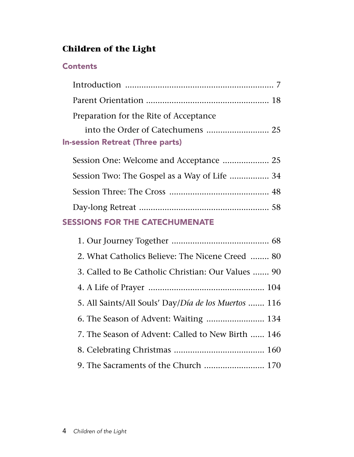# **Children of the Light**

## **Contents**

| Preparation for the Rite of Acceptance       |  |
|----------------------------------------------|--|
|                                              |  |
| <b>In-session Retreat (Three parts)</b>      |  |
|                                              |  |
| Session Two: The Gospel as a Way of Life  34 |  |
|                                              |  |
|                                              |  |

## SESSIONS FOR THE CATECHUMENATE

| 2. What Catholics Believe: The Nicene Creed  80      |
|------------------------------------------------------|
| 3. Called to Be Catholic Christian: Our Values  90   |
|                                                      |
| 5. All Saints/All Souls' Day/Día de los Muertos  116 |
|                                                      |
| 7. The Season of Advent: Called to New Birth  146    |
|                                                      |
|                                                      |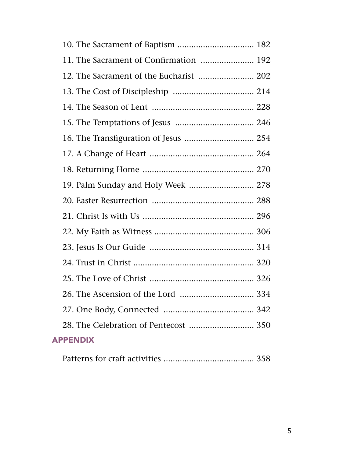| 11. The Sacrament of Confirmation  192  |  |
|-----------------------------------------|--|
| 12. The Sacrament of the Eucharist  202 |  |
|                                         |  |
|                                         |  |
|                                         |  |
| 16. The Transfiguration of Jesus  254   |  |
|                                         |  |
|                                         |  |
| 19. Palm Sunday and Holy Week  278      |  |
|                                         |  |
|                                         |  |
|                                         |  |
|                                         |  |
|                                         |  |
|                                         |  |
|                                         |  |
|                                         |  |
| 28. The Celebration of Pentecost  350   |  |
| <b>APPENDIX</b>                         |  |
|                                         |  |

|--|--|--|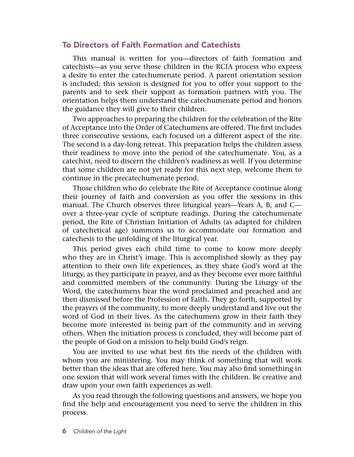### To Directors of Faith Formation and Catechists

This manual is written for you—directors of faith formation and catechists—as you serve those children in the RCIA process who express a desire to enter the catechumenate period. A parent orientation session is included; this session is designed for you to offer your support to the parents and to seek their support as formation partners with you. The orientation helps them understand the catechumenate period and honors the guidance they will give to their children.

Two approaches to preparing the children for the celebration of the Rite of Acceptance into the Order of Catechumens are offered. The first includes three consecutive sessions, each focused on a different aspect of the rite. The second is a day-long retreat. This preparation helps the children assess their readiness to move into the period of the catechumenate. You, as a catechist, need to discern the children's readiness as well. If you determine that some children are not yet ready for this next step, welcome them to continue in the precatechumenate period.

Those children who do celebrate the Rite of Acceptance continue along their journey of faith and conversion as you offer the sessions in this manual. The Church observes three liturgical years—Years A, B, and C over a three-year cycle of scripture readings. During the catechumenate period, the Rite of Christian Initiation of Adults (as adapted for children of catechetical age) summons us to accommodate our formation and catechesis to the unfolding of the liturgical year.

This period gives each child time to come to know more deeply who they are in Christ's image. This is accomplished slowly as they pay attention to their own life experiences, as they share God's word at the liturgy, as they participate in prayer, and as they become ever more faithful and committed members of the community. During the Liturgy of the Word, the catechumens hear the word proclaimed and preached and are then dismissed before the Profession of Faith. They go forth, supported by the prayers of the community, to more deeply understand and live out the word of God in their lives. As the catechumens grow in their faith they become more interested in being part of the community and in serving others. When the initiation process is concluded, they will become part of the people of God on a mission to help build God's reign.

You are invited to use what best fits the needs of the children with whom you are ministering. You may think of something that will work better than the ideas that are offered here. You may also find something in one session that will work several times with the children. Be creative and draw upon your own faith experiences as well.

As you read through the following questions and answers, we hope you find the help and encouragement you need to serve the children in this process.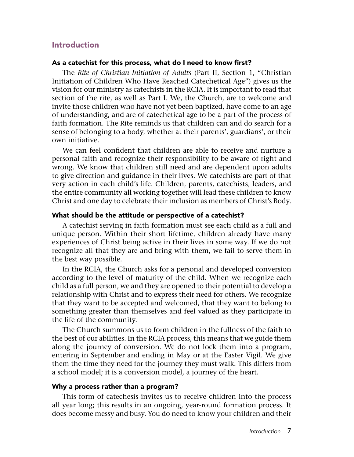### Introduction

### As a catechist for this process, what do I need to know first?

The *Rite of Christian Initiation of Adults* (Part II, Section 1, "Christian Initiation of Children Who Have Reached Catechetical Age") gives us the vision for our ministry as catechists in the RCIA. It is important to read that section of the rite, as well as Part I. We, the Church, are to welcome and invite those children who have not yet been baptized, have come to an age of understanding, and are of catechetical age to be a part of the process of faith formation. The Rite reminds us that children can and do search for a sense of belonging to a body, whether at their parents', guardians', or their own initiative.

We can feel confident that children are able to receive and nurture a personal faith and recognize their responsibility to be aware of right and wrong. We know that children still need and are dependent upon adults to give direction and guidance in their lives. We catechists are part of that very action in each child's life. Children, parents, catechists, leaders, and the entire community all working together will lead these children to know Christ and one day to celebrate their inclusion as members of Christ's Body.

### What should be the attitude or perspective of a catechist?

A catechist serving in faith formation must see each child as a full and unique person. Within their short lifetime, children already have many experiences of Christ being active in their lives in some way. If we do not recognize all that they are and bring with them, we fail to serve them in the best way possible.

In the RCIA, the Church asks for a personal and developed conversion according to the level of maturity of the child. When we recognize each child as a full person, we and they are opened to their potential to develop a relationship with Christ and to express their need for others. We recognize that they want to be accepted and welcomed, that they want to belong to something greater than themselves and feel valued as they participate in the life of the community.

The Church summons us to form children in the fullness of the faith to the best of our abilities. In the RCIA process, this means that we guide them along the journey of conversion. We do not lock them into a program, entering in September and ending in May or at the Easter Vigil. We give them the time they need for the journey they must walk. This differs from a school model; it is a conversion model, a journey of the heart.

### Why a process rather than a program?

This form of catechesis invites us to receive children into the process all year long; this results in an ongoing, year-round formation process. It does become messy and busy. You do need to know your children and their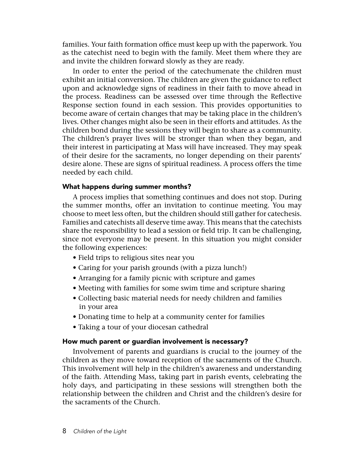families. Your faith formation office must keep up with the paperwork. You as the catechist need to begin with the family. Meet them where they are and invite the children forward slowly as they are ready.

In order to enter the period of the catechumenate the children must exhibit an initial conversion. The children are given the guidance to reflect upon and acknowledge signs of readiness in their faith to move ahead in the process. Readiness can be assessed over time through the Reflective Response section found in each session. This provides opportunities to become aware of certain changes that may be taking place in the children's lives. Other changes might also be seen in their efforts and attitudes. As the children bond during the sessions they will begin to share as a community. The children's prayer lives will be stronger than when they began, and their interest in participating at Mass will have increased. They may speak of their desire for the sacraments, no longer depending on their parents' desire alone. These are signs of spiritual readiness. A process offers the time needed by each child.

### What happens during summer months?

A process implies that something continues and does not stop. During the summer months, offer an invitation to continue meeting. You may choose to meet less often, but the children should still gather for catechesis. Families and catechists all deserve time away. This means that the catechists share the responsibility to lead a session or field trip. It can be challenging, since not everyone may be present. In this situation you might consider the following experiences:

- Field trips to religious sites near you
- Caring for your parish grounds (with a pizza lunch!)
- Arranging for a family picnic with scripture and games
- Meeting with families for some swim time and scripture sharing
- Collecting basic material needs for needy children and families in your area
- Donating time to help at a community center for families
- Taking a tour of your diocesan cathedral

### How much parent or guardian involvement is necessary?

Involvement of parents and guardians is crucial to the journey of the children as they move toward reception of the sacraments of the Church. This involvement will help in the children's awareness and understanding of the faith. Attending Mass, taking part in parish events, celebrating the holy days, and participating in these sessions will strengthen both the relationship between the children and Christ and the children's desire for the sacraments of the Church.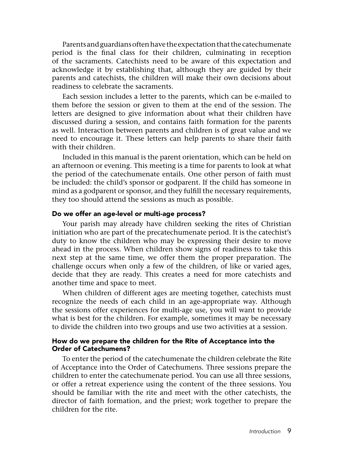Parents and guardians often have the expectation that the catechumenate period is the final class for their children, culminating in reception of the sacraments. Catechists need to be aware of this expectation and acknowledge it by establishing that, although they are guided by their parents and catechists, the children will make their own decisions about readiness to celebrate the sacraments.

Each session includes a letter to the parents, which can be e-mailed to them before the session or given to them at the end of the session. The letters are designed to give information about what their children have discussed during a session, and contains faith formation for the parents as well. Interaction between parents and children is of great value and we need to encourage it. These letters can help parents to share their faith with their children.

Included in this manual is the parent orientation, which can be held on an afternoon or evening. This meeting is a time for parents to look at what the period of the catechumenate entails. One other person of faith must be included: the child's sponsor or godparent. If the child has someone in mind as a godparent or sponsor, and they fulfill the necessary requirements, they too should attend the sessions as much as possible.

### Do we offer an age-level or multi-age process?

Your parish may already have children seeking the rites of Christian initiation who are part of the precatechumenate period. It is the catechist's duty to know the children who may be expressing their desire to move ahead in the process. When children show signs of readiness to take this next step at the same time, we offer them the proper preparation. The challenge occurs when only a few of the children, of like or varied ages, decide that they are ready. This creates a need for more catechists and another time and space to meet.

When children of different ages are meeting together, catechists must recognize the needs of each child in an age-appropriate way. Although the sessions offer experiences for multi-age use, you will want to provide what is best for the children. For example, sometimes it may be necessary to divide the children into two groups and use two activities at a session.

### How do we prepare the children for the Rite of Acceptance into the Order of Catechumens?

To enter the period of the catechumenate the children celebrate the Rite of Acceptance into the Order of Catechumens. Three sessions prepare the children to enter the catechumenate period. You can use all three sessions, or offer a retreat experience using the content of the three sessions. You should be familiar with the rite and meet with the other catechists, the director of faith formation, and the priest; work together to prepare the children for the rite.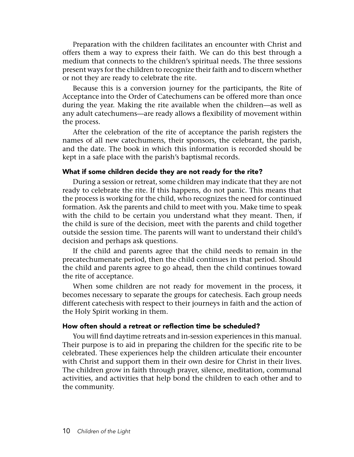Preparation with the children facilitates an encounter with Christ and offers them a way to express their faith. We can do this best through a medium that connects to the children's spiritual needs. The three sessions present ways for the children to recognize their faith and to discern whether or not they are ready to celebrate the rite.

Because this is a conversion journey for the participants, the Rite of Acceptance into the Order of Catechumens can be offered more than once during the year. Making the rite available when the children—as well as any adult catechumens—are ready allows a flexibility of movement within the process.

After the celebration of the rite of acceptance the parish registers the names of all new catechumens, their sponsors, the celebrant, the parish, and the date. The book in which this information is recorded should be kept in a safe place with the parish's baptismal records.

### What if some children decide they are not ready for the rite?

During a session or retreat, some children may indicate that they are not ready to celebrate the rite. If this happens, do not panic. This means that the process is working for the child, who recognizes the need for continued formation. Ask the parents and child to meet with you. Make time to speak with the child to be certain you understand what they meant. Then, if the child is sure of the decision, meet with the parents and child together outside the session time. The parents will want to understand their child's decision and perhaps ask questions.

If the child and parents agree that the child needs to remain in the precatechumenate period, then the child continues in that period. Should the child and parents agree to go ahead, then the child continues toward the rite of acceptance.

When some children are not ready for movement in the process, it becomes necessary to separate the groups for catechesis. Each group needs different catechesis with respect to their journeys in faith and the action of the Holy Spirit working in them.

### How often should a retreat or reflection time be scheduled?

You will find daytime retreats and in-session experiences in this manual. Their purpose is to aid in preparing the children for the specific rite to be celebrated. These experiences help the children articulate their encounter with Christ and support them in their own desire for Christ in their lives. The children grow in faith through prayer, silence, meditation, communal activities, and activities that help bond the children to each other and to the community.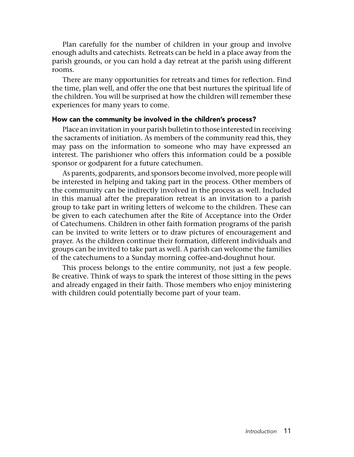Plan carefully for the number of children in your group and involve enough adults and catechists. Retreats can be held in a place away from the parish grounds, or you can hold a day retreat at the parish using different rooms.

There are many opportunities for retreats and times for reflection. Find the time, plan well, and offer the one that best nurtures the spiritual life of the children. You will be surprised at how the children will remember these experiences for many years to come.

### How can the community be involved in the children's process?

Place an invitation in your parish bulletin to those interested in receiving the sacraments of initiation. As members of the community read this, they may pass on the information to someone who may have expressed an interest. The parishioner who offers this information could be a possible sponsor or godparent for a future catechumen.

As parents, godparents, and sponsors become involved, more people will be interested in helping and taking part in the process. Other members of the community can be indirectly involved in the process as well. Included in this manual after the preparation retreat is an invitation to a parish group to take part in writing letters of welcome to the children. These can be given to each catechumen after the Rite of Acceptance into the Order of Catechumens. Children in other faith formation programs of the parish can be invited to write letters or to draw pictures of encouragement and prayer. As the children continue their formation, different individuals and groups can be invited to take part as well. A parish can welcome the families of the catechumens to a Sunday morning coffee-and-doughnut hour.

This process belongs to the entire community, not just a few people. Be creative. Think of ways to spark the interest of those sitting in the pews and already engaged in their faith. Those members who enjoy ministering with children could potentially become part of your team.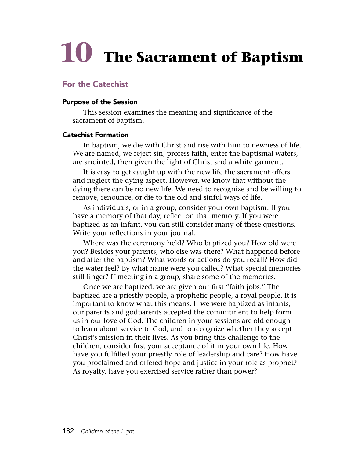# **10 The Sacrament of Baptism**

### For the Catechist

### Purpose of the Session

This session examines the meaning and significance of the sacrament of baptism.

### Catechist Formation

In baptism, we die with Christ and rise with him to newness of life. We are named, we reject sin, profess faith, enter the baptismal waters, are anointed, then given the light of Christ and a white garment.

It is easy to get caught up with the new life the sacrament offers and neglect the dying aspect. However, we know that without the dying there can be no new life. We need to recognize and be willing to remove, renounce, or die to the old and sinful ways of life.

As individuals, or in a group, consider your own baptism. If you have a memory of that day, reflect on that memory. If you were baptized as an infant, you can still consider many of these questions. Write your reflections in your journal.

Where was the ceremony held? Who baptized you? How old were you? Besides your parents, who else was there? What happened before and after the baptism? What words or actions do you recall? How did the water feel? By what name were you called? What special memories still linger? If meeting in a group, share some of the memories.

Once we are baptized, we are given our first "faith jobs." The baptized are a priestly people, a prophetic people, a royal people. It is important to know what this means. If we were baptized as infants, our parents and godparents accepted the commitment to help form us in our love of God. The children in your sessions are old enough to learn about service to God, and to recognize whether they accept Christ's mission in their lives. As you bring this challenge to the children, consider first your acceptance of it in your own life. How have you fulfilled your priestly role of leadership and care? How have you proclaimed and offered hope and justice in your role as prophet? As royalty, have you exercised service rather than power?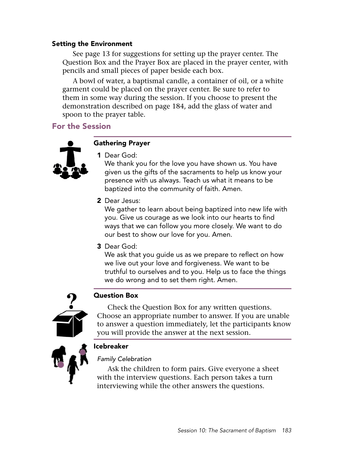### Setting the Environment

See page 13 for suggestions for setting up the prayer center. The Question Box and the Prayer Box are placed in the prayer center, with pencils and small pieces of paper beside each box.

A bowl of water, a baptismal candle, a container of oil, or a white garment could be placed on the prayer center. Be sure to refer to them in some way during the session. If you choose to present the demonstration described on page 184, add the glass of water and spoon to the prayer table.

### For the Session



### Gathering Prayer

1 Dear God:

We thank you for the love you have shown us. You have given us the gifts of the sacraments to help us know your presence with us always. Teach us what it means to be baptized into the community of faith. Amen.

2 Dear Jesus:

We gather to learn about being baptized into new life with you. Give us courage as we look into our hearts to find ways that we can follow you more closely. We want to do our best to show our love for you. Amen.

3 Dear God:

We ask that you guide us as we prepare to reflect on how we live out your love and forgiveness. We want to be truthful to ourselves and to you. Help us to face the things we do wrong and to set them right. Amen.



### Question Box

Check the Question Box for any written questions. Choose an appropriate number to answer. If you are unable to answer a question immediately, let the participants know you will provide the answer at the next session.



Icebreaker

*Family Celebration*

Ask the children to form pairs. Give everyone a sheet with the interview questions. Each person takes a turn interviewing while the other answers the questions.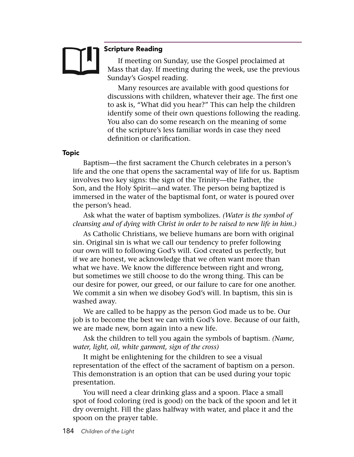### Scripture Reading

If meeting on Sunday, use the Gospel proclaimed at Mass that day. If meeting during the week, use the previous Sunday's Gospel reading.

Many resources are available with good questions for discussions with children, whatever their age. The first one to ask is, "What did you hear?" This can help the children identify some of their own questions following the reading. You also can do some research on the meaning of some of the scripture's less familiar words in case they need definition or clarification.

### Topic

Baptism—the first sacrament the Church celebrates in a person's life and the one that opens the sacramental way of life for us. Baptism involves two key signs: the sign of the Trinity—the Father, the Son, and the Holy Spirit—and water. The person being baptized is immersed in the water of the baptismal font, or water is poured over the person's head.

Ask what the water of baptism symbolizes. *(Water is the symbol of cleansing and of dying with Christ in order to be raised to new life in him.)*

As Catholic Christians, we believe humans are born with original sin. Original sin is what we call our tendency to prefer following our own will to following God's will. God created us perfectly, but if we are honest, we acknowledge that we often want more than what we have. We know the difference between right and wrong, but sometimes we still choose to do the wrong thing. This can be our desire for power, our greed, or our failure to care for one another. We commit a sin when we disobey God's will. In baptism, this sin is washed away.

We are called to be happy as the person God made us to be. Our job is to become the best we can with God's love. Because of our faith, we are made new, born again into a new life.

Ask the children to tell you again the symbols of baptism. *(Name, water, light, oil, white garment, sign of the cross)*

It might be enlightening for the children to see a visual representation of the effect of the sacrament of baptism on a person. This demonstration is an option that can be used during your topic presentation.

You will need a clear drinking glass and a spoon. Place a small spot of food coloring (red is good) on the back of the spoon and let it dry overnight. Fill the glass halfway with water, and place it and the spoon on the prayer table.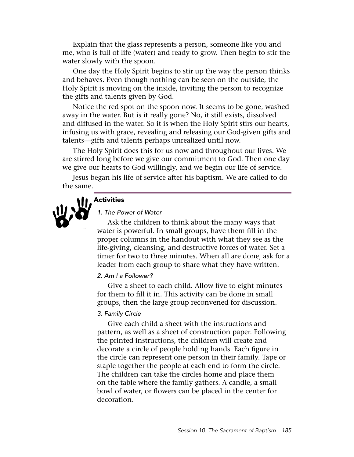Explain that the glass represents a person, someone like you and me, who is full of life (water) and ready to grow. Then begin to stir the water slowly with the spoon.

One day the Holy Spirit begins to stir up the way the person thinks and behaves. Even though nothing can be seen on the outside, the Holy Spirit is moving on the inside, inviting the person to recognize the gifts and talents given by God.

Notice the red spot on the spoon now. It seems to be gone, washed away in the water. But is it really gone? No, it still exists, dissolved and diffused in the water. So it is when the Holy Spirit stirs our hearts, infusing us with grace, revealing and releasing our God-given gifts and talents—gifts and talents perhaps unrealized until now.

The Holy Spirit does this for us now and throughout our lives. We are stirred long before we give our commitment to God. Then one day we give our hearts to God willingly, and we begin our life of service.

Jesus began his life of service after his baptism. We are called to do the same.



# **M** Activities

### *1. The Power of Water*

Ask the children to think about the many ways that water is powerful. In small groups, have them fill in the proper columns in the handout with what they see as the life-giving, cleansing, and destructive forces of water. Set a timer for two to three minutes. When all are done, ask for a leader from each group to share what they have written.

### *2. Am I a Follower?*

Give a sheet to each child. Allow five to eight minutes for them to fill it in. This activity can be done in small groups, then the large group reconvened for discussion.

### *3. Family Circle*

Give each child a sheet with the instructions and pattern, as well as a sheet of construction paper. Following the printed instructions, the children will create and decorate a circle of people holding hands. Each figure in the circle can represent one person in their family. Tape or staple together the people at each end to form the circle. The children can take the circles home and place them on the table where the family gathers. A candle, a small bowl of water, or flowers can be placed in the center for decoration.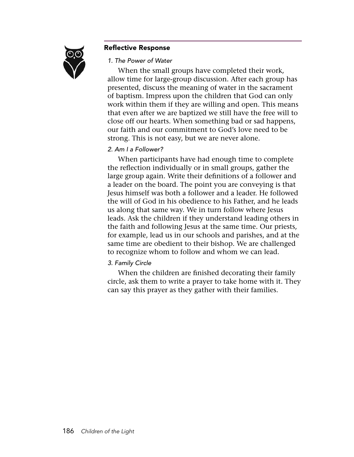

### Reflective Response

### *1. The Power of Water*

When the small groups have completed their work, allow time for large-group discussion. After each group has presented, discuss the meaning of water in the sacrament of baptism. Impress upon the children that God can only work within them if they are willing and open. This means that even after we are baptized we still have the free will to close off our hearts. When something bad or sad happens, our faith and our commitment to God's love need to be strong. This is not easy, but we are never alone.

### *2. Am I a Follower?*

When participants have had enough time to complete the reflection individually or in small groups, gather the large group again. Write their definitions of a follower and a leader on the board. The point you are conveying is that Jesus himself was both a follower and a leader. He followed the will of God in his obedience to his Father, and he leads us along that same way. We in turn follow where Jesus leads. Ask the children if they understand leading others in the faith and following Jesus at the same time. Our priests, for example, lead us in our schools and parishes, and at the same time are obedient to their bishop. We are challenged to recognize whom to follow and whom we can lead.

### *3. Family Circle*

When the children are finished decorating their family circle, ask them to write a prayer to take home with it. They can say this prayer as they gather with their families.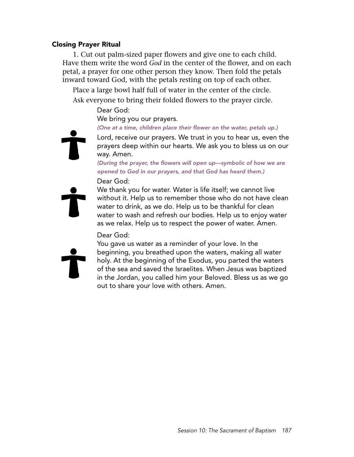### Closing Prayer Ritual

1. Cut out palm-sized paper flowers and give one to each child. Have them write the word *God* in the center of the flower, and on each petal, a prayer for one other person they know. Then fold the petals inward toward God, with the petals resting on top of each other.

Place a large bowl half full of water in the center of the circle. Ask everyone to bring their folded flowers to the prayer circle.

Dear God:

We bring you our prayers.

*(One at a time, children place their flower on the water, petals up.)*

Lord, receive our prayers. We trust in you to hear us, even the

prayers deep within our hearts. We ask you to bless us on our way. Amen. *(During the prayer, the flowers will open up—symbolic of how we are* 

*opened to God in our prayers, and that God has heard them.)* Dear God:



We thank you for water. Water is life itself; we cannot live without it. Help us to remember those who do not have clean water to drink, as we do. Help us to be thankful for clean water to wash and refresh our bodies. Help us to enjoy water as we relax. Help us to respect the power of water. Amen.

### Dear God:

You gave us water as a reminder of your love. In the beginning, you breathed upon the waters, making all water holy. At the beginning of the Exodus, you parted the waters of the sea and saved the Israelites. When Jesus was baptized in the Jordan, you called him your Beloved. Bless us as we go out to share your love with others. Amen.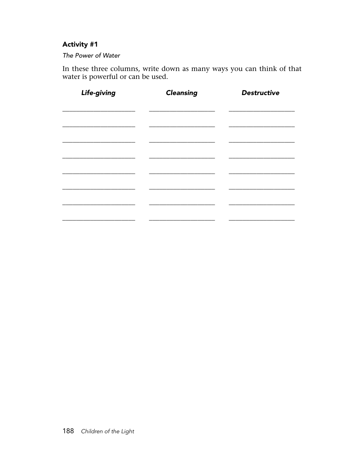### **Activity #1**

### The Power of Water

In these three columns, write down as many ways you can think of that water is powerful or can be used.

| Life-giving | <b>Cleansing</b> | <b>Destructive</b> |
|-------------|------------------|--------------------|
|             |                  |                    |
|             |                  |                    |
|             |                  |                    |
|             |                  |                    |
|             |                  |                    |
|             |                  |                    |
|             |                  |                    |
|             |                  |                    |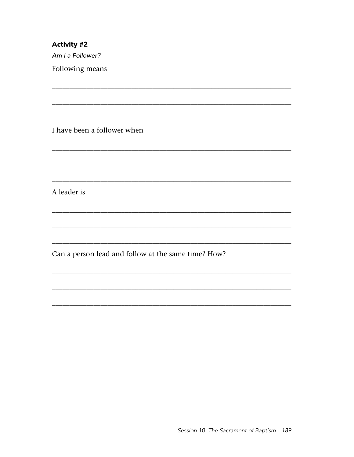**Activity #2** Am I a Follower?

Following means

I have been a follower when

A leader is

Can a person lead and follow at the same time? How?

<u> 1989 - Johann John Stone, Amerikaansk politiker (\* 1908)</u>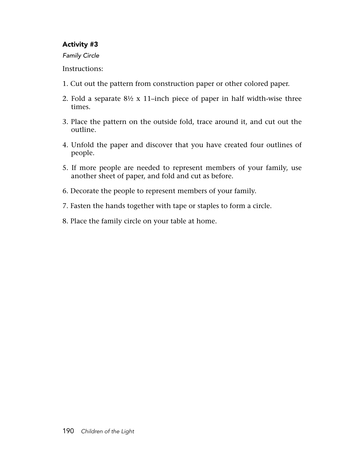### Activity #3

*Family Circle*

Instructions:

- 1. Cut out the pattern from construction paper or other colored paper.
- 2. Fold a separate 8½ x 11–inch piece of paper in half width-wise three times.
- 3. Place the pattern on the outside fold, trace around it, and cut out the outline.
- 4. Unfold the paper and discover that you have created four outlines of people.
- 5. If more people are needed to represent members of your family, use another sheet of paper, and fold and cut as before.
- 6. Decorate the people to represent members of your family.
- 7. Fasten the hands together with tape or staples to form a circle.
- 8. Place the family circle on your table at home.